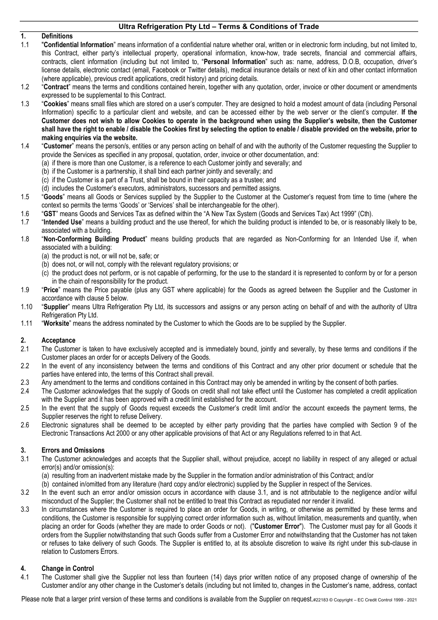# 1. Definitions<br>1.1 "Confidenti

- "Confidential Information" means information of a confidential nature whether oral, written or in electronic form including, but not limited to, this Contract, either party's intellectual property, operational information, know-how, trade secrets, financial and commercial affairs, contracts, client information (including but not limited to, "Personal Information" such as: name, address, D.O.B, occupation, driver's license details, electronic contact (email, Facebook or Twitter details), medical insurance details or next of kin and other contact information (where applicable), previous credit applications, credit history) and pricing details.
- 1.2 "Contract" means the terms and conditions contained herein, together with any quotation, order, invoice or other document or amendments expressed to be supplemental to this Contract.
- 1.3 "Cookies" means small files which are stored on a user's computer. They are designed to hold a modest amount of data (including Personal Information) specific to a particular client and website, and can be accessed either by the web server or the client's computer. If the Customer does not wish to allow Cookies to operate in the background when using the Supplier's website, then the Customer shall have the right to enable / disable the Cookies first by selecting the option to enable / disable provided on the website, prior to making enquiries via the website.
- 1.4 "Customer" means the person/s, entities or any person acting on behalf of and with the authority of the Customer requesting the Supplier to provide the Services as specified in any proposal, quotation, order, invoice or other documentation, and:
	- (a) if there is more than one Customer, is a reference to each Customer jointly and severally; and
	- (b) if the Customer is a partnership, it shall bind each partner jointly and severally; and
	- (c) if the Customer is a part of a Trust, shall be bound in their capacity as a trustee; and
	- (d) includes the Customer's executors, administrators, successors and permitted assigns.
- 1.5 "Goods" means all Goods or Services supplied by the Supplier to the Customer at the Customer's request from time to time (where the context so permits the terms 'Goods' or 'Services' shall be interchangeable for the other).
- 1.6 "GST" means Goods and Services Tax as defined within the "A New Tax System (Goods and Services Tax) Act 1999" (Cth).
- 1.7 "Intended Use" means a building product and the use thereof, for which the building product is intended to be, or is reasonably likely to be, associated with a building.
- 1.8 "Non-Conforming Building Product" means building products that are regarded as Non-Conforming for an Intended Use if, when associated with a building:
	- (a) the product is not, or will not be, safe; or
	- (b) does not, or will not, comply with the relevant regulatory provisions; or
	- (c) the product does not perform, or is not capable of performing, for the use to the standard it is represented to conform by or for a person in the chain of responsibility for the product.
- 1.9 "Price" means the Price payable (plus any GST where applicable) for the Goods as agreed between the Supplier and the Customer in accordance with clause 5 below.
- 1.10 "Supplier" means Ultra Refrigeration Pty Ltd, its successors and assigns or any person acting on behalf of and with the authority of Ultra Refrigeration Pty Ltd.
- 1.11 "Worksite" means the address nominated by the Customer to which the Goods are to be supplied by the Supplier.

## 2. Acceptance

- 2.1 The Customer is taken to have exclusively accepted and is immediately bound, jointly and severally, by these terms and conditions if the Customer places an order for or accepts Delivery of the Goods.
- 2.2 In the event of any inconsistency between the terms and conditions of this Contract and any other prior document or schedule that the parties have entered into, the terms of this Contract shall prevail.
- 2.3 Any amendment to the terms and conditions contained in this Contract may only be amended in writing by the consent of both parties.
- 2.4 The Customer acknowledges that the supply of Goods on credit shall not take effect until the Customer has completed a credit application with the Supplier and it has been approved with a credit limit established for the account.
- 2.5 In the event that the supply of Goods request exceeds the Customer's credit limit and/or the account exceeds the payment terms, the Supplier reserves the right to refuse Delivery.
- 2.6 Electronic signatures shall be deemed to be accepted by either party providing that the parties have complied with Section 9 of the Electronic Transactions Act 2000 or any other applicable provisions of that Act or any Regulations referred to in that Act.

## 3. Errors and Omissions

- 3.1 The Customer acknowledges and accepts that the Supplier shall, without prejudice, accept no liability in respect of any alleged or actual error(s) and/or omission(s):
	- (a) resulting from an inadvertent mistake made by the Supplier in the formation and/or administration of this Contract; and/or
	- (b) contained in/omitted from any literature (hard copy and/or electronic) supplied by the Supplier in respect of the Services.
- 3.2 In the event such an error and/or omission occurs in accordance with clause 3.1, and is not attributable to the negligence and/or wilful misconduct of the Supplier; the Customer shall not be entitled to treat this Contract as repudiated nor render it invalid.
- 3.3 In circumstances where the Customer is required to place an order for Goods, in writing, or otherwise as permitted by these terms and conditions, the Customer is responsible for supplying correct order information such as, without limitation, measurements and quantity, when placing an order for Goods (whether they are made to order Goods or not). ("Customer Error"). The Customer must pay for all Goods it orders from the Supplier notwithstanding that such Goods suffer from a Customer Error and notwithstanding that the Customer has not taken or refuses to take delivery of such Goods. The Supplier is entitled to, at its absolute discretion to waive its right under this sub-clause in relation to Customers Errors.

## 4. Change in Control

4.1 The Customer shall give the Supplier not less than fourteen (14) days prior written notice of any proposed change of ownership of the Customer and/or any other change in the Customer's details (including but not limited to, changes in the Customer's name, address, contact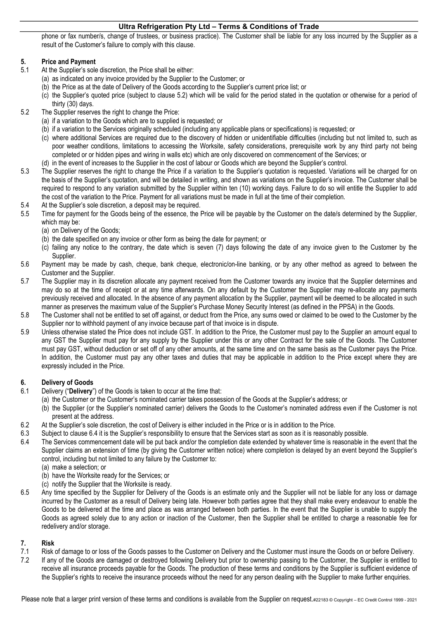phone or fax number/s, change of trustees, or business practice). The Customer shall be liable for any loss incurred by the Supplier as a result of the Customer's failure to comply with this clause.

## 5. Price and Payment

- 5.1 At the Supplier's sole discretion, the Price shall be either:
	- (a) as indicated on any invoice provided by the Supplier to the Customer; or
	- (b) the Price as at the date of Delivery of the Goods according to the Supplier's current price list; or
	- (c) the Supplier's quoted price (subject to clause 5.2) which will be valid for the period stated in the quotation or otherwise for a period of thirty (30) days.
- 5.2 The Supplier reserves the right to change the Price:
	- (a) if a variation to the Goods which are to supplied is requested; or
	- (b) if a variation to the Services originally scheduled (including any applicable plans or specifications) is requested; or
	- (c) where additional Services are required due to the discovery of hidden or unidentifiable difficulties (including but not limited to, such as poor weather conditions, limitations to accessing the Worksite, safety considerations, prerequisite work by any third party not being completed or or hidden pipes and wiring in walls etc) which are only discovered on commencement of the Services; or
	- (d) in the event of increases to the Supplier in the cost of labour or Goods which are beyond the Supplier's control.
- 5.3 The Supplier reserves the right to change the Price if a variation to the Supplier's quotation is requested. Variations will be charged for on the basis of the Supplier's quotation, and will be detailed in writing, and shown as variations on the Supplier's invoice. The Customer shall be required to respond to any variation submitted by the Supplier within ten (10) working days. Failure to do so will entitle the Supplier to add the cost of the variation to the Price. Payment for all variations must be made in full at the time of their completion.
- 5.4 At the Supplier's sole discretion, a deposit may be required.
- 5.5 Time for payment for the Goods being of the essence, the Price will be payable by the Customer on the date/s determined by the Supplier, which may be:
	- (a) on Delivery of the Goods;
	- (b) the date specified on any invoice or other form as being the date for payment; or
	- (c) failing any notice to the contrary, the date which is seven (7) days following the date of any invoice given to the Customer by the Supplier.
- 5.6 Payment may be made by cash, cheque, bank cheque, electronic/on-line banking, or by any other method as agreed to between the Customer and the Supplier.
- 5.7 The Supplier may in its discretion allocate any payment received from the Customer towards any invoice that the Supplier determines and may do so at the time of receipt or at any time afterwards. On any default by the Customer the Supplier may re-allocate any payments previously received and allocated. In the absence of any payment allocation by the Supplier, payment will be deemed to be allocated in such manner as preserves the maximum value of the Supplier's Purchase Money Security Interest (as defined in the PPSA) in the Goods.
- 5.8 The Customer shall not be entitled to set off against, or deduct from the Price, any sums owed or claimed to be owed to the Customer by the Supplier nor to withhold payment of any invoice because part of that invoice is in dispute.
- 5.9 Unless otherwise stated the Price does not include GST. In addition to the Price, the Customer must pay to the Supplier an amount equal to any GST the Supplier must pay for any supply by the Supplier under this or any other Contract for the sale of the Goods. The Customer must pay GST, without deduction or set off of any other amounts, at the same time and on the same basis as the Customer pays the Price. In addition, the Customer must pay any other taxes and duties that may be applicable in addition to the Price except where they are expressly included in the Price.

## 6. Delivery of Goods

- 6.1 Delivery ("Delivery") of the Goods is taken to occur at the time that:
	- (a) the Customer or the Customer's nominated carrier takes possession of the Goods at the Supplier's address; or
	- (b) the Supplier (or the Supplier's nominated carrier) delivers the Goods to the Customer's nominated address even if the Customer is not present at the address.
- 6.2 At the Supplier's sole discretion, the cost of Delivery is either included in the Price or is in addition to the Price.
- 6.3 Subject to clause 6.4 it is the Supplier's responsibility to ensure that the Services start as soon as it is reasonably possible.
- 6.4 The Services commencement date will be put back and/or the completion date extended by whatever time is reasonable in the event that the Supplier claims an extension of time (by giving the Customer written notice) where completion is delayed by an event beyond the Supplier's control, including but not limited to any failure by the Customer to:
	- (a) make a selection; or
	- (b) have the Worksite ready for the Services; or
	- (c) notify the Supplier that the Worksite is ready.
- 6.5 Any time specified by the Supplier for Delivery of the Goods is an estimate only and the Supplier will not be liable for any loss or damage incurred by the Customer as a result of Delivery being late. However both parties agree that they shall make every endeavour to enable the Goods to be delivered at the time and place as was arranged between both parties. In the event that the Supplier is unable to supply the Goods as agreed solely due to any action or inaction of the Customer, then the Supplier shall be entitled to charge a reasonable fee for redelivery and/or storage.

## 7. Risk

- 7.1 Risk of damage to or loss of the Goods passes to the Customer on Delivery and the Customer must insure the Goods on or before Delivery.
- 7.2 If any of the Goods are damaged or destroyed following Delivery but prior to ownership passing to the Customer, the Supplier is entitled to receive all insurance proceeds payable for the Goods. The production of these terms and conditions by the Supplier is sufficient evidence of the Supplier's rights to receive the insurance proceeds without the need for any person dealing with the Supplier to make further enquiries.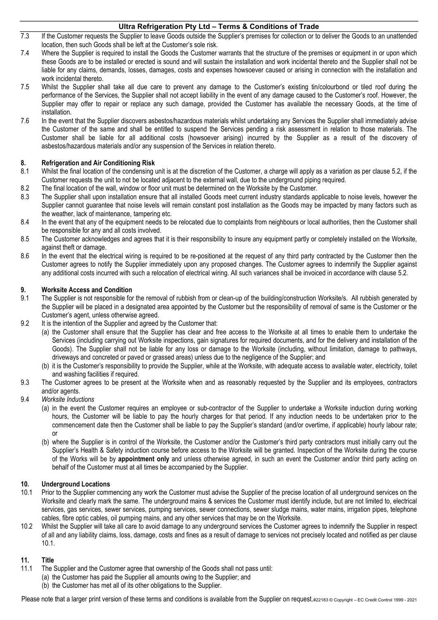- 7.3 If the Customer requests the Supplier to leave Goods outside the Supplier's premises for collection or to deliver the Goods to an unattended location, then such Goods shall be left at the Customer's sole risk.
- 7.4 Where the Supplier is required to install the Goods the Customer warrants that the structure of the premises or equipment in or upon which these Goods are to be installed or erected is sound and will sustain the installation and work incidental thereto and the Supplier shall not be liable for any claims, demands, losses, damages, costs and expenses howsoever caused or arising in connection with the installation and work incidental thereto.
- 7.5 Whilst the Supplier shall take all due care to prevent any damage to the Customer's existing tin/colourbond or tiled roof during the performance of the Services, the Supplier shall not accept liability in the event of any damage caused to the Customer's roof. However, the Supplier may offer to repair or replace any such damage, provided the Customer has available the necessary Goods, at the time of installation.
- 7.6 In the event that the Supplier discovers asbestos/hazardous materials whilst undertaking any Services the Supplier shall immediately advise the Customer of the same and shall be entitled to suspend the Services pending a risk assessment in relation to those materials. The Customer shall be liable for all additional costs (howsoever arising) incurred by the Supplier as a result of the discovery of asbestos/hazardous materials and/or any suspension of the Services in relation thereto.

## 8. Refrigeration and Air Conditioning Risk

- 8.1 Whilst the final location of the condensing unit is at the discretion of the Customer, a charge will apply as a variation as per clause 5.2, if the Customer requests the unit to not be located adjacent to the external wall, due to the underground piping required.
- 8.2 The final location of the wall, window or floor unit must be determined on the Worksite by the Customer.
- 8.3 The Supplier shall upon installation ensure that all installed Goods meet current industry standards applicable to noise levels, however the Supplier cannot guarantee that noise levels will remain constant post installation as the Goods may be impacted by many factors such as the weather, lack of maintenance, tampering etc.
- 8.4 In the event that any of the equipment needs to be relocated due to complaints from neighbours or local authorities, then the Customer shall be responsible for any and all costs involved.
- 8.5 The Customer acknowledges and agrees that it is their responsibility to insure any equipment partly or completely installed on the Worksite, against theft or damage.
- 8.6 In the event that the electrical wiring is required to be re-positioned at the request of any third party contracted by the Customer then the Customer agrees to notify the Supplier immediately upon any proposed changes. The Customer agrees to indemnify the Supplier against any additional costs incurred with such a relocation of electrical wiring. All such variances shall be invoiced in accordance with clause 5.2.

## 9. Worksite Access and Condition

- 9.1 The Supplier is not responsible for the removal of rubbish from or clean-up of the building/construction Worksite/s. All rubbish generated by the Supplier will be placed in a designated area appointed by the Customer but the responsibility of removal of same is the Customer or the Customer's agent, unless otherwise agreed.
- 9.2 It is the intention of the Supplier and agreed by the Customer that:
	- (a) the Customer shall ensure that the Supplier has clear and free access to the Worksite at all times to enable them to undertake the Services (including carrying out Worksite inspections, gain signatures for required documents, and for the delivery and installation of the Goods). The Supplier shall not be liable for any loss or damage to the Worksite (including, without limitation, damage to pathways, driveways and concreted or paved or grassed areas) unless due to the negligence of the Supplier; and
	- (b) it is the Customer's responsibility to provide the Supplier, while at the Worksite, with adequate access to available water, electricity, toilet and washing facilities if required.
- 9.3 The Customer agrees to be present at the Worksite when and as reasonably requested by the Supplier and its employees, contractors and/or agents.
- 9.4 Worksite Inductions
	- (a) in the event the Customer requires an employee or sub-contractor of the Supplier to undertake a Worksite induction during working hours, the Customer will be liable to pay the hourly charges for that period. If any induction needs to be undertaken prior to the commencement date then the Customer shall be liable to pay the Supplier's standard (and/or overtime, if applicable) hourly labour rate; or
	- (b) where the Supplier is in control of the Worksite, the Customer and/or the Customer's third party contractors must initially carry out the Supplier's Health & Safety induction course before access to the Worksite will be granted. Inspection of the Worksite during the course of the Works will be by appointment only and unless otherwise agreed, in such an event the Customer and/or third party acting on behalf of the Customer must at all times be accompanied by the Supplier.

## 10. Underground Locations

- 10.1 Prior to the Supplier commencing any work the Customer must advise the Supplier of the precise location of all underground services on the Worksite and clearly mark the same. The underground mains & services the Customer must identify include, but are not limited to, electrical services, gas services, sewer services, pumping services, sewer connections, sewer sludge mains, water mains, irrigation pipes, telephone cables, fibre optic cables, oil pumping mains, and any other services that may be on the Worksite.
- 10.2 Whilst the Supplier will take all care to avoid damage to any underground services the Customer agrees to indemnify the Supplier in respect of all and any liability claims, loss, damage, costs and fines as a result of damage to services not precisely located and notified as per clause 10.1.

## 11. Title

- 11.1 The Supplier and the Customer agree that ownership of the Goods shall not pass until:
	- (a) the Customer has paid the Supplier all amounts owing to the Supplier; and
	- (b) the Customer has met all of its other obligations to the Supplier.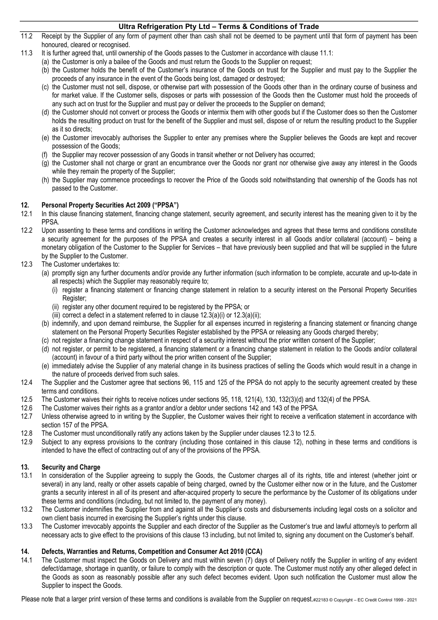- 11.2 Receipt by the Supplier of any form of payment other than cash shall not be deemed to be payment until that form of payment has been honoured, cleared or recognised.
- 11.3 It is further agreed that, until ownership of the Goods passes to the Customer in accordance with clause 11.1:
	- (a) the Customer is only a bailee of the Goods and must return the Goods to the Supplier on request;
	- (b) the Customer holds the benefit of the Customer's insurance of the Goods on trust for the Supplier and must pay to the Supplier the proceeds of any insurance in the event of the Goods being lost, damaged or destroyed;
	- (c) the Customer must not sell, dispose, or otherwise part with possession of the Goods other than in the ordinary course of business and for market value. If the Customer sells, disposes or parts with possession of the Goods then the Customer must hold the proceeds of any such act on trust for the Supplier and must pay or deliver the proceeds to the Supplier on demand;
	- (d) the Customer should not convert or process the Goods or intermix them with other goods but if the Customer does so then the Customer holds the resulting product on trust for the benefit of the Supplier and must sell, dispose of or return the resulting product to the Supplier as it so directs;
	- (e) the Customer irrevocably authorises the Supplier to enter any premises where the Supplier believes the Goods are kept and recover possession of the Goods;
	- (f) the Supplier may recover possession of any Goods in transit whether or not Delivery has occurred;
	- (g) the Customer shall not charge or grant an encumbrance over the Goods nor grant nor otherwise give away any interest in the Goods while they remain the property of the Supplier;
	- (h) the Supplier may commence proceedings to recover the Price of the Goods sold notwithstanding that ownership of the Goods has not passed to the Customer.

## 12. Personal Property Securities Act 2009 ("PPSA")

- 12.1 In this clause financing statement, financing change statement, security agreement, and security interest has the meaning given to it by the PPSA.
- 12.2 Upon assenting to these terms and conditions in writing the Customer acknowledges and agrees that these terms and conditions constitute a security agreement for the purposes of the PPSA and creates a security interest in all Goods and/or collateral (account) – being a monetary obligation of the Customer to the Supplier for Services – that have previously been supplied and that will be supplied in the future by the Supplier to the Customer.
- 12.3 The Customer undertakes to:
	- (a) promptly sign any further documents and/or provide any further information (such information to be complete, accurate and up-to-date in all respects) which the Supplier may reasonably require to;
		- (i) register a financing statement or financing change statement in relation to a security interest on the Personal Property Securities Register;
		- (ii) register any other document required to be registered by the PPSA; or
		- (iii) correct a defect in a statement referred to in clause  $12.3(a)(i)$  or  $12.3(a)(ii)$ ;
	- (b) indemnify, and upon demand reimburse, the Supplier for all expenses incurred in registering a financing statement or financing change statement on the Personal Property Securities Register established by the PPSA or releasing any Goods charged thereby;
	- (c) not register a financing change statement in respect of a security interest without the prior written consent of the Supplier;
	- (d) not register, or permit to be registered, a financing statement or a financing change statement in relation to the Goods and/or collateral (account) in favour of a third party without the prior written consent of the Supplier;
	- (e) immediately advise the Supplier of any material change in its business practices of selling the Goods which would result in a change in the nature of proceeds derived from such sales.
- 12.4 The Supplier and the Customer agree that sections 96, 115 and 125 of the PPSA do not apply to the security agreement created by these terms and conditions.
- 12.5 The Customer waives their rights to receive notices under sections 95, 118, 121(4), 130, 132(3)(d) and 132(4) of the PPSA.
- 12.6 The Customer waives their rights as a grantor and/or a debtor under sections 142 and 143 of the PPSA.
- 12.7 Unless otherwise agreed to in writing by the Supplier, the Customer waives their right to receive a verification statement in accordance with section 157 of the PPSA.
- 12.8 The Customer must unconditionally ratify any actions taken by the Supplier under clauses 12.3 to 12.5.
- 12.9 Subject to any express provisions to the contrary (including those contained in this clause 12), nothing in these terms and conditions is intended to have the effect of contracting out of any of the provisions of the PPSA.

## 13. Security and Charge

- 13.1 In consideration of the Supplier agreeing to supply the Goods, the Customer charges all of its rights, title and interest (whether joint or several) in any land, realty or other assets capable of being charged, owned by the Customer either now or in the future, and the Customer grants a security interest in all of its present and after-acquired property to secure the performance by the Customer of its obligations under these terms and conditions (including, but not limited to, the payment of any money).
- 13.2 The Customer indemnifies the Supplier from and against all the Supplier's costs and disbursements including legal costs on a solicitor and own client basis incurred in exercising the Supplier's rights under this clause.
- 13.3 The Customer irrevocably appoints the Supplier and each director of the Supplier as the Customer's true and lawful attorney/s to perform all necessary acts to give effect to the provisions of this clause 13 including, but not limited to, signing any document on the Customer's behalf.

## 14. Defects, Warranties and Returns, Competition and Consumer Act 2010 (CCA)

14.1 The Customer must inspect the Goods on Delivery and must within seven (7) days of Delivery notify the Supplier in writing of any evident defect/damage, shortage in quantity, or failure to comply with the description or quote. The Customer must notify any other alleged defect in the Goods as soon as reasonably possible after any such defect becomes evident. Upon such notification the Customer must allow the Supplier to inspect the Goods.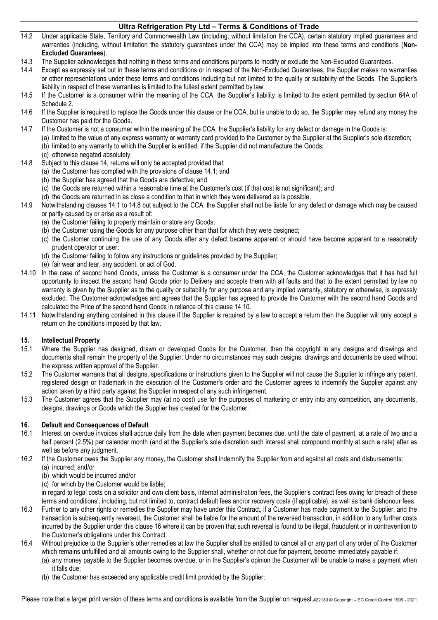- 14.2 Under applicable State, Territory and Commonwealth Law (including, without limitation the CCA), certain statutory implied guarantees and warranties (including, without limitation the statutory guarantees under the CCA) may be implied into these terms and conditions (Non-Excluded Guarantees).
- 14.3 The Supplier acknowledges that nothing in these terms and conditions purports to modify or exclude the Non-Excluded Guarantees.
- 14.4 Except as expressly set out in these terms and conditions or in respect of the Non-Excluded Guarantees, the Supplier makes no warranties or other representations under these terms and conditions including but not limited to the quality or suitability of the Goods. The Supplier's liability in respect of these warranties is limited to the fullest extent permitted by law.
- 14.5 If the Customer is a consumer within the meaning of the CCA, the Supplier's liability is limited to the extent permitted by section 64A of Schedule 2.
- 14.6 If the Supplier is required to replace the Goods under this clause or the CCA, but is unable to do so, the Supplier may refund any money the Customer has paid for the Goods.
- 14.7 If the Customer is not a consumer within the meaning of the CCA, the Supplier's liability for any defect or damage in the Goods is:
	- (a) limited to the value of any express warranty or warranty card provided to the Customer by the Supplier at the Supplier's sole discretion; (b) limited to any warranty to which the Supplier is entitled, if the Supplier did not manufacture the Goods;
	- (c) otherwise negated absolutely.
- 14.8 Subject to this clause 14, returns will only be accepted provided that:
	- (a) the Customer has complied with the provisions of clause 14.1; and
	- (b) the Supplier has agreed that the Goods are defective; and
	- (c) the Goods are returned within a reasonable time at the Customer's cost (if that cost is not significant); and
	- (d) the Goods are returned in as close a condition to that in which they were delivered as is possible.
- 14.9 Notwithstanding clauses 14.1 to 14.8 but subject to the CCA, the Supplier shall not be liable for any defect or damage which may be caused or partly caused by or arise as a result of:
	- (a) the Customer failing to properly maintain or store any Goods;
	- (b) the Customer using the Goods for any purpose other than that for which they were designed;
	- (c) the Customer continuing the use of any Goods after any defect became apparent or should have become apparent to a reasonably prudent operator or user;
	- (d) the Customer failing to follow any instructions or guidelines provided by the Supplier;
	- (e) fair wear and tear, any accident, or act of God.
- 14.10 In the case of second hand Goods, unless the Customer is a consumer under the CCA, the Customer acknowledges that it has had full opportunity to inspect the second hand Goods prior to Delivery and accepts them with all faults and that to the extent permitted by law no warranty is given by the Supplier as to the quality or suitability for any purpose and any implied warranty, statutory or otherwise, is expressly excluded. The Customer acknowledges and agrees that the Supplier has agreed to provide the Customer with the second hand Goods and calculated the Price of the second hand Goods in reliance of this clause 14.10.
- 14.11 Notwithstanding anything contained in this clause if the Supplier is required by a law to accept a return then the Supplier will only accept a return on the conditions imposed by that law.

## 15. Intellectual Property

- 15.1 Where the Supplier has designed, drawn or developed Goods for the Customer, then the copyright in any designs and drawings and documents shall remain the property of the Supplier. Under no circumstances may such designs, drawings and documents be used without the express written approval of the Supplier.
- 15.2 The Customer warrants that all designs, specifications or instructions given to the Supplier will not cause the Supplier to infringe any patent, registered design or trademark in the execution of the Customer's order and the Customer agrees to indemnify the Supplier against any action taken by a third party against the Supplier in respect of any such infringement.
- 15.3 The Customer agrees that the Supplier may (at no cost) use for the purposes of marketing or entry into any competition, any documents, designs, drawings or Goods which the Supplier has created for the Customer.

## 16. Default and Consequences of Default

- 16.1 Interest on overdue invoices shall accrue daily from the date when payment becomes due, until the date of payment, at a rate of two and a half percent (2.5%) per calendar month (and at the Supplier's sole discretion such interest shall compound monthly at such a rate) after as well as before any judgment.
- 16.2 If the Customer owes the Supplier any money, the Customer shall indemnify the Supplier from and against all costs and disbursements:
	- (a) incurred; and/or
	- (b) which would be incurred and/or
	- (c) for which by the Customer would be liable;

in regard to legal costs on a solicitor and own client basis, internal administration fees, the Supplier's contract fees owing for breach of these terms and conditions', including, but not limited to, contract default fees and/or recovery costs (if applicable), as well as bank dishonour fees.

- 16.3 Further to any other rights or remedies the Supplier may have under this Contract, if a Customer has made payment to the Supplier, and the transaction is subsequently reversed, the Customer shall be liable for the amount of the reversed transaction, in addition to any further costs incurred by the Supplier under this clause 16 where it can be proven that such reversal is found to be illegal, fraudulent or in contravention to the Customer's obligations under this Contract.
- 16.4 Without prejudice to the Supplier's other remedies at law the Supplier shall be entitled to cancel all or any part of any order of the Customer which remains unfulfilled and all amounts owing to the Supplier shall, whether or not due for payment, become immediately payable if:
	- (a) any money payable to the Supplier becomes overdue, or in the Supplier's opinion the Customer will be unable to make a payment when it falls due;
		- (b) the Customer has exceeded any applicable credit limit provided by the Supplier;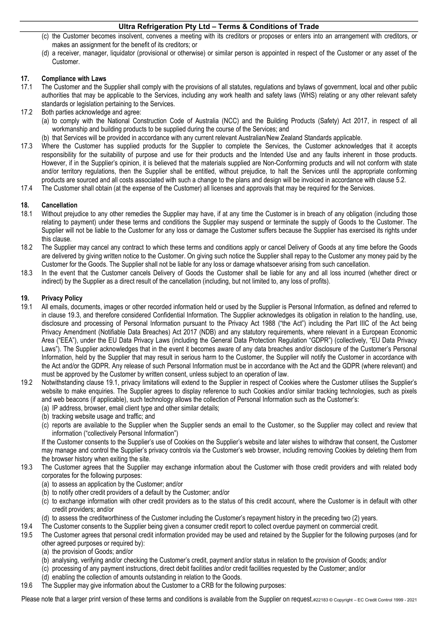- (c) the Customer becomes insolvent, convenes a meeting with its creditors or proposes or enters into an arrangement with creditors, or makes an assignment for the benefit of its creditors; or
- (d) a receiver, manager, liquidator (provisional or otherwise) or similar person is appointed in respect of the Customer or any asset of the Customer.

### 17. Compliance with Laws

- 17.1 The Customer and the Supplier shall comply with the provisions of all statutes, regulations and bylaws of government, local and other public authorities that may be applicable to the Services, including any work health and safety laws (WHS) relating or any other relevant safety standards or legislation pertaining to the Services.
- 17.2 Both parties acknowledge and agree:
	- (a) to comply with the National Construction Code of Australia (NCC) and the Building Products (Safety) Act 2017, in respect of all workmanship and building products to be supplied during the course of the Services; and
	- (b) that Services will be provided in accordance with any current relevant Australian/New Zealand Standards applicable.
- 17.3 Where the Customer has supplied products for the Supplier to complete the Services, the Customer acknowledges that it accepts responsibility for the suitability of purpose and use for their products and the Intended Use and any faults inherent in those products. However, if in the Supplier's opinion, it is believed that the materials supplied are Non-Conforming products and will not conform with state and/or territory regulations, then the Supplier shall be entitled, without prejudice, to halt the Services until the appropriate conforming products are sourced and all costs associated with such a change to the plans and design will be invoiced in accordance with clause 5.2.
- 17.4 The Customer shall obtain (at the expense of the Customer) all licenses and approvals that may be required for the Services.

#### 18. Cancellation

- 18.1 Without prejudice to any other remedies the Supplier may have, if at any time the Customer is in breach of any obligation (including those relating to payment) under these terms and conditions the Supplier may suspend or terminate the supply of Goods to the Customer. The Supplier will not be liable to the Customer for any loss or damage the Customer suffers because the Supplier has exercised its rights under this clause.
- 18.2 The Supplier may cancel any contract to which these terms and conditions apply or cancel Delivery of Goods at any time before the Goods are delivered by giving written notice to the Customer. On giving such notice the Supplier shall repay to the Customer any money paid by the Customer for the Goods. The Supplier shall not be liable for any loss or damage whatsoever arising from such cancellation.
- 18.3 In the event that the Customer cancels Delivery of Goods the Customer shall be liable for any and all loss incurred (whether direct or indirect) by the Supplier as a direct result of the cancellation (including, but not limited to, any loss of profits).

#### 19. Privacy Policy

- 19.1 All emails, documents, images or other recorded information held or used by the Supplier is Personal Information, as defined and referred to in clause 19.3, and therefore considered Confidential Information. The Supplier acknowledges its obligation in relation to the handling, use, disclosure and processing of Personal Information pursuant to the Privacy Act 1988 ("the Act") including the Part IIIC of the Act being Privacy Amendment (Notifiable Data Breaches) Act 2017 (NDB) and any statutory requirements, where relevant in a European Economic Area ("EEA"), under the EU Data Privacy Laws (including the General Data Protection Regulation "GDPR") (collectively, "EU Data Privacy Laws"). The Supplier acknowledges that in the event it becomes aware of any data breaches and/or disclosure of the Customer's Personal Information, held by the Supplier that may result in serious harm to the Customer, the Supplier will notify the Customer in accordance with the Act and/or the GDPR. Any release of such Personal Information must be in accordance with the Act and the GDPR (where relevant) and must be approved by the Customer by written consent, unless subject to an operation of law.
- 19.2 Notwithstanding clause 19.1, privacy limitations will extend to the Supplier in respect of Cookies where the Customer utilises the Supplier's website to make enquiries. The Supplier agrees to display reference to such Cookies and/or similar tracking technologies, such as pixels and web beacons (if applicable), such technology allows the collection of Personal Information such as the Customer's:
	- (a) IP address, browser, email client type and other similar details;
	- (b) tracking website usage and traffic; and
	- (c) reports are available to the Supplier when the Supplier sends an email to the Customer, so the Supplier may collect and review that information ("collectively Personal Information")

If the Customer consents to the Supplier's use of Cookies on the Supplier's website and later wishes to withdraw that consent, the Customer may manage and control the Supplier's privacy controls via the Customer's web browser, including removing Cookies by deleting them from the browser history when exiting the site.

- 19.3 The Customer agrees that the Supplier may exchange information about the Customer with those credit providers and with related body corporates for the following purposes:
	- (a) to assess an application by the Customer; and/or
	- (b) to notify other credit providers of a default by the Customer; and/or
	- (c) to exchange information with other credit providers as to the status of this credit account, where the Customer is in default with other credit providers; and/or
	- (d) to assess the creditworthiness of the Customer including the Customer's repayment history in the preceding two (2) years.
- 19.4 The Customer consents to the Supplier being given a consumer credit report to collect overdue payment on commercial credit.
- 19.5 The Customer agrees that personal credit information provided may be used and retained by the Supplier for the following purposes (and for other agreed purposes or required by):
	- (a) the provision of Goods; and/or
	- (b) analysing, verifying and/or checking the Customer's credit, payment and/or status in relation to the provision of Goods; and/or
	- (c) processing of any payment instructions, direct debit facilities and/or credit facilities requested by the Customer; and/or
	- (d) enabling the collection of amounts outstanding in relation to the Goods.
- 19.6 The Supplier may give information about the Customer to a CRB for the following purposes: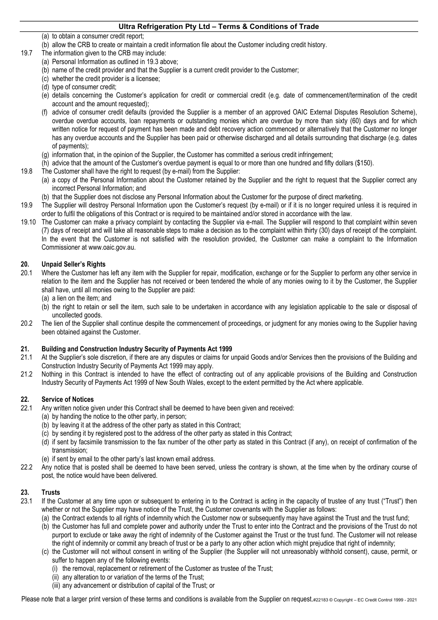- (a) to obtain a consumer credit report;
- (b) allow the CRB to create or maintain a credit information file about the Customer including credit history.
- 19.7 The information given to the CRB may include:
	- (a) Personal Information as outlined in 19.3 above;
	- (b) name of the credit provider and that the Supplier is a current credit provider to the Customer;
	- (c) whether the credit provider is a licensee;
	- (d) type of consumer credit;
	- (e) details concerning the Customer's application for credit or commercial credit (e.g. date of commencement/termination of the credit account and the amount requested);
	- (f) advice of consumer credit defaults (provided the Supplier is a member of an approved OAIC External Disputes Resolution Scheme), overdue overdue accounts, loan repayments or outstanding monies which are overdue by more than sixty (60) days and for which written notice for request of payment has been made and debt recovery action commenced or alternatively that the Customer no longer has any overdue accounts and the Supplier has been paid or otherwise discharged and all details surrounding that discharge (e.g. dates of payments);
	- (g) information that, in the opinion of the Supplier, the Customer has committed a serious credit infringement;
	- (h) advice that the amount of the Customer's overdue payment is equal to or more than one hundred and fifty dollars (\$150).
- 19.8 The Customer shall have the right to request (by e-mail) from the Supplier:
	- (a) a copy of the Personal Information about the Customer retained by the Supplier and the right to request that the Supplier correct any incorrect Personal Information; and
	- (b) that the Supplier does not disclose any Personal Information about the Customer for the purpose of direct marketing.
- 19.9 The Supplier will destroy Personal Information upon the Customer's request (by e-mail) or if it is no longer required unless it is required in order to fulfil the obligations of this Contract or is required to be maintained and/or stored in accordance with the law.
- 19.10 The Customer can make a privacy complaint by contacting the Supplier via e-mail. The Supplier will respond to that complaint within seven (7) days of receipt and will take all reasonable steps to make a decision as to the complaint within thirty (30) days of receipt of the complaint. In the event that the Customer is not satisfied with the resolution provided, the Customer can make a complaint to the Information Commissioner at www.oaic.gov.au.

## 20. Unpaid Seller's Rights

- 20.1 Where the Customer has left any item with the Supplier for repair, modification, exchange or for the Supplier to perform any other service in relation to the item and the Supplier has not received or been tendered the whole of any monies owing to it by the Customer, the Supplier shall have, until all monies owing to the Supplier are paid:
	- (a) a lien on the item; and
	- (b) the right to retain or sell the item, such sale to be undertaken in accordance with any legislation applicable to the sale or disposal of uncollected goods.
- 20.2 The lien of the Supplier shall continue despite the commencement of proceedings, or judgment for any monies owing to the Supplier having been obtained against the Customer.

## 21. Building and Construction Industry Security of Payments Act 1999

- 21.1 At the Supplier's sole discretion, if there are any disputes or claims for unpaid Goods and/or Services then the provisions of the Building and Construction Industry Security of Payments Act 1999 may apply.
- 21.2 Nothing in this Contract is intended to have the effect of contracting out of any applicable provisions of the Building and Construction Industry Security of Payments Act 1999 of New South Wales, except to the extent permitted by the Act where applicable.

## 22. Service of Notices

- 22.1 Any written notice given under this Contract shall be deemed to have been given and received:
	- (a) by handing the notice to the other party, in person;
	- (b) by leaving it at the address of the other party as stated in this Contract;
	- (c) by sending it by registered post to the address of the other party as stated in this Contract;
	- (d) if sent by facsimile transmission to the fax number of the other party as stated in this Contract (if any), on receipt of confirmation of the transmission;
	- (e) if sent by email to the other party's last known email address.
- 22.2 Any notice that is posted shall be deemed to have been served, unless the contrary is shown, at the time when by the ordinary course of post, the notice would have been delivered.

## 23. Trusts

- 23.1 If the Customer at any time upon or subsequent to entering in to the Contract is acting in the capacity of trustee of any trust ("Trust") then whether or not the Supplier may have notice of the Trust, the Customer covenants with the Supplier as follows:
	- (a) the Contract extends to all rights of indemnity which the Customer now or subsequently may have against the Trust and the trust fund;
	- (b) the Customer has full and complete power and authority under the Trust to enter into the Contract and the provisions of the Trust do not purport to exclude or take away the right of indemnity of the Customer against the Trust or the trust fund. The Customer will not release the right of indemnity or commit any breach of trust or be a party to any other action which might prejudice that right of indemnity;
	- (c) the Customer will not without consent in writing of the Supplier (the Supplier will not unreasonably withhold consent), cause, permit, or suffer to happen any of the following events:
		- (i) the removal, replacement or retirement of the Customer as trustee of the Trust;
		- (ii) any alteration to or variation of the terms of the Trust;
		- (iii) any advancement or distribution of capital of the Trust; or